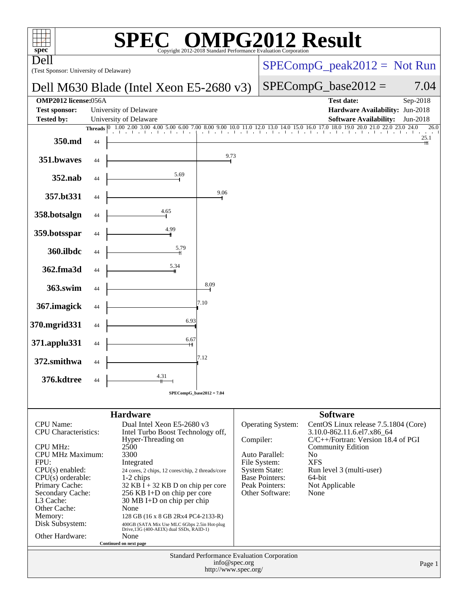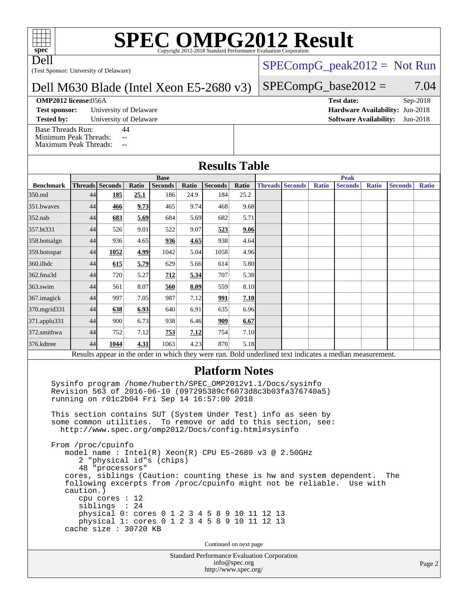# **[SPEC OMPG2012 Result](http://www.spec.org/auto/omp2012/Docs/result-fields.html#SPECOMPG2012Result)**

Dell

(Test Sponsor: University of Delaware)

#### Dell M630 Blade (Intel Xeon E5-2680 v3)

#### **[OMP2012 license:](http://www.spec.org/auto/omp2012/Docs/result-fields.html#OMP2012license)**056A **[Test date:](http://www.spec.org/auto/omp2012/Docs/result-fields.html#Testdate)** Sep-2018

**[Test sponsor:](http://www.spec.org/auto/omp2012/Docs/result-fields.html#Testsponsor)** University of Delaware **[Hardware Availability:](http://www.spec.org/auto/omp2012/Docs/result-fields.html#HardwareAvailability)** Jun-2018

[Base Threads Run:](http://www.spec.org/auto/omp2012/Docs/result-fields.html#BaseThreadsRun) 44

[Minimum Peak Threads:](http://www.spec.org/auto/omp2012/Docs/result-fields.html#MinimumPeakThreads) --

[Maximum Peak Threads:](http://www.spec.org/auto/omp2012/Docs/result-fields.html#MaximumPeakThreads) --

#### $SPECompG_peak2012 = Not Run$  $SPECompG_peak2012 = Not Run$

#### $SPECompG_base2012 = 7.04$  $SPECompG_base2012 = 7.04$

**[Tested by:](http://www.spec.org/auto/omp2012/Docs/result-fields.html#Testedby)** University of Delaware **[Software Availability:](http://www.spec.org/auto/omp2012/Docs/result-fields.html#SoftwareAvailability)** Jun-2018

#### **[Results Table](http://www.spec.org/auto/omp2012/Docs/result-fields.html#ResultsTable)**

|                  | <b>Base</b> |                 |       |                |       |                |       |  | <b>Peak</b>            |              |                                                                                                         |              |                |              |  |
|------------------|-------------|-----------------|-------|----------------|-------|----------------|-------|--|------------------------|--------------|---------------------------------------------------------------------------------------------------------|--------------|----------------|--------------|--|
| <b>Benchmark</b> |             | Threads Seconds | Ratio | <b>Seconds</b> | Ratio | <b>Seconds</b> | Ratio |  | <b>Threads Seconds</b> | <b>Ratio</b> | <b>Seconds</b>                                                                                          | <b>Ratio</b> | <b>Seconds</b> | <b>Ratio</b> |  |
| 350.md           | 44          | <u>185</u>      | 25.1  | 186            | 24.9  | 184            | 25.2  |  |                        |              |                                                                                                         |              |                |              |  |
| 351.bwaves       | 44          | 466             | 9.73  | 465            | 9.74  | 468            | 9.68  |  |                        |              |                                                                                                         |              |                |              |  |
| $352$ .nab       | 44          | 683             | 5.69  | 684            | 5.69  | 682            | 5.71  |  |                        |              |                                                                                                         |              |                |              |  |
| 357.bt331        | 44          | 526             | 9.01  | 522            | 9.07  | 523            | 9.06  |  |                        |              |                                                                                                         |              |                |              |  |
| 358.botsalgn     | 44          | 936             | 4.65  | 936            | 4.65  | 938            | 4.64  |  |                        |              |                                                                                                         |              |                |              |  |
| 359.botsspar     | 44          | 1052            | 4.99  | 1042           | 5.04  | 1058           | 4.96  |  |                        |              |                                                                                                         |              |                |              |  |
| 360.ilbdc        | 44          | 615             | 5.79  | 629            | 5.66  | 614            | 5.80  |  |                        |              |                                                                                                         |              |                |              |  |
| 362.fma3d        | 44          | 720             | 5.27  | 712            | 5.34  | 707            | 5.38  |  |                        |              |                                                                                                         |              |                |              |  |
| $363$ .swim      | 44          | 561             | 8.07  | 560            | 8.09  | 559            | 8.10  |  |                        |              |                                                                                                         |              |                |              |  |
| 367.imagick      | 44          | 997             | 7.05  | 987            | 7.12  | 991            | 7.10  |  |                        |              |                                                                                                         |              |                |              |  |
| 370.mgrid331     | 44          | 638             | 6.93  | 640            | 6.91  | 635            | 6.96  |  |                        |              |                                                                                                         |              |                |              |  |
| 371.applu331     | 44          | 900             | 6.73  | 938            | 6.46  | 909            | 6.67  |  |                        |              |                                                                                                         |              |                |              |  |
| 372.smithwa      | 44          | 752             | 7.12  | 753            | 7.12  | 754            | 7.10  |  |                        |              |                                                                                                         |              |                |              |  |
| 376.kdtree       | 44          | 1044            | 4.31  | 1063           | 4.23  | 870            | 5.18  |  |                        |              |                                                                                                         |              |                |              |  |
|                  |             |                 |       |                |       |                |       |  |                        |              | Results appear in the order in which they were run. Bold underlined text indicates a median measurement |              |                |              |  |

Results appear in the [order in which they were run.](http://www.spec.org/auto/omp2012/Docs/result-fields.html#RunOrder) Bold underlined text [indicates a median measurement.](http://www.spec.org/auto/omp2012/Docs/result-fields.html#Median)

#### **[Platform Notes](http://www.spec.org/auto/omp2012/Docs/result-fields.html#PlatformNotes)**

 Sysinfo program /home/huberth/SPEC\_OMP2012v1.1/Docs/sysinfo Revision 563 of 2016-06-10 (097295389cf6073d8c3b03fa376740a5) running on r01c2b04 Fri Sep 14 16:57:00 2018

 This section contains SUT (System Under Test) info as seen by some common utilities. To remove or add to this section, see: <http://www.spec.org/omp2012/Docs/config.html#sysinfo>

 From /proc/cpuinfo model name : Intel(R) Xeon(R) CPU E5-2680 v3 @ 2.50GHz 2 "physical id"s (chips) 48 "processors" cores, siblings (Caution: counting these is hw and system dependent. The following excerpts from /proc/cpuinfo might not be reliable. Use with caution.) cpu cores : 12 siblings : 24 physical 0: cores 0 1 2 3 4 5 8 9 10 11 12 13 physical 1: cores 0 1 2 3 4 5 8 9 10 11 12 13 cache size : 30720 KB

Continued on next page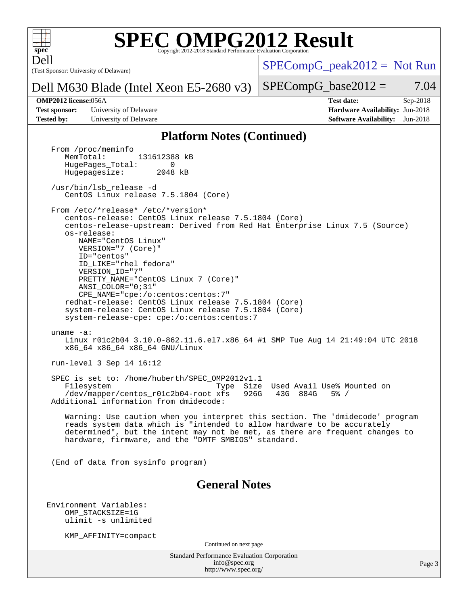

Dell

# **[SPEC OMPG2012 Result](http://www.spec.org/auto/omp2012/Docs/result-fields.html#SPECOMPG2012Result)**

(Test Sponsor: University of Delaware)

 $SPECompG_peak2012 = Not Run$  $SPECompG_peak2012 = Not Run$ 

#### Dell M630 Blade (Intel Xeon E5-2680 v3)

**[OMP2012 license:](http://www.spec.org/auto/omp2012/Docs/result-fields.html#OMP2012license)**056A **[Test date:](http://www.spec.org/auto/omp2012/Docs/result-fields.html#Testdate)** Sep-2018

**[Test sponsor:](http://www.spec.org/auto/omp2012/Docs/result-fields.html#Testsponsor)** University of Delaware **[Hardware Availability:](http://www.spec.org/auto/omp2012/Docs/result-fields.html#HardwareAvailability)** Jun-2018 **[Tested by:](http://www.spec.org/auto/omp2012/Docs/result-fields.html#Testedby)** University of Delaware **[Software Availability:](http://www.spec.org/auto/omp2012/Docs/result-fields.html#SoftwareAvailability)** Jun-2018

 $SPECompG_base2012 = 7.04$  $SPECompG_base2012 = 7.04$ 

#### **[Platform Notes \(Continued\)](http://www.spec.org/auto/omp2012/Docs/result-fields.html#PlatformNotes)**

From /proc/meminfo<br>MemTotal: 131612388 kB HugePages\_Total: 0<br>Hugepagesize: 2048 kB Hugepagesize: /usr/bin/lsb\_release -d CentOS Linux release 7.5.1804 (Core) From /etc/\*release\* /etc/\*version\* centos-release: CentOS Linux release 7.5.1804 (Core) centos-release-upstream: Derived from Red Hat Enterprise Linux 7.5 (Source) os-release: NAME="CentOS Linux" VERSION="7 (Core)" ID="centos" ID\_LIKE="rhel fedora" VERSION\_ID="7" PRETTY\_NAME="CentOS Linux 7 (Core)" ANSI\_COLOR="0;31" CPE\_NAME="cpe:/o:centos:centos:7" redhat-release: CentOS Linux release 7.5.1804 (Core) system-release: CentOS Linux release 7.5.1804 (Core) system-release-cpe: cpe:/o:centos:centos:7 uname -a: Linux r01c2b04 3.10.0-862.11.6.el7.x86\_64 #1 SMP Tue Aug 14 21:49:04 UTC 2018 x86\_64 x86\_64 x86\_64 GNU/Linux run-level 3 Sep 14 16:12 SPEC is set to: /home/huberth/SPEC\_OMP2012v1.1 Filesystem Type Size Used Avail Use% Mounted on<br>
/dev/mapper/centos\_r01c2b04-root xfs 926G 43G 884G 5% / /dev/mapper/centos\_r01c2b04-root xfs 926G 43G 884G 5% / Additional information from dmidecode: Warning: Use caution when you interpret this section. The 'dmidecode' program reads system data which is "intended to allow hardware to be accurately determined", but the intent may not be met, as there are frequent changes to hardware, firmware, and the "DMTF SMBIOS" standard. (End of data from sysinfo program) **[General Notes](http://www.spec.org/auto/omp2012/Docs/result-fields.html#GeneralNotes)** Environment Variables: OMP\_STACKSIZE=1G ulimit -s unlimited KMP\_AFFINITY=compact Continued on next page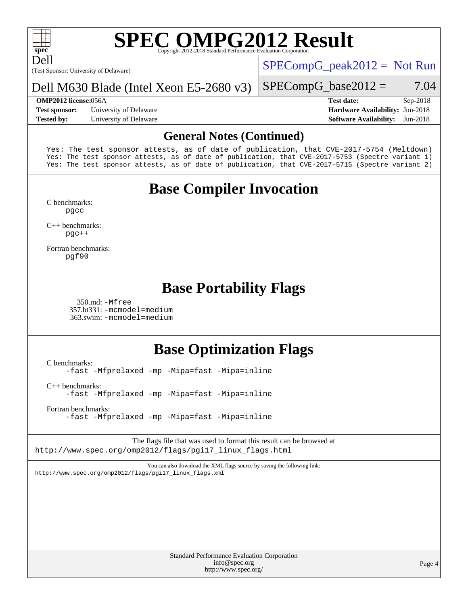

Dell

# **[SPEC OMPG2012 Result](http://www.spec.org/auto/omp2012/Docs/result-fields.html#SPECOMPG2012Result)**

(Test Sponsor: University of Delaware)

 $SPECompG_peak2012 = Not Run$  $SPECompG_peak2012 = Not Run$ 

#### Dell M630 Blade (Intel Xeon E5-2680 v3)

**[Test sponsor:](http://www.spec.org/auto/omp2012/Docs/result-fields.html#Testsponsor)** University of Delaware **[Hardware Availability:](http://www.spec.org/auto/omp2012/Docs/result-fields.html#HardwareAvailability)** Jun-2018 **[Tested by:](http://www.spec.org/auto/omp2012/Docs/result-fields.html#Testedby)** University of Delaware **[Software Availability:](http://www.spec.org/auto/omp2012/Docs/result-fields.html#SoftwareAvailability)** Jun-2018

#### $SPECompG_base2012 = 7.04$  $SPECompG_base2012 = 7.04$

**[OMP2012 license:](http://www.spec.org/auto/omp2012/Docs/result-fields.html#OMP2012license)**056A **[Test date:](http://www.spec.org/auto/omp2012/Docs/result-fields.html#Testdate)** Sep-2018

#### **[General Notes \(Continued\)](http://www.spec.org/auto/omp2012/Docs/result-fields.html#GeneralNotes)**

Yes: The test sponsor attests, as of date of publication, that CVE-2017-5754 (Meltdown) Yes: The test sponsor attests, as of date of publication, that CVE-2017-5753 (Spectre variant 1) Yes: The test sponsor attests, as of date of publication, that CVE-2017-5715 (Spectre variant 2)

## **[Base Compiler Invocation](http://www.spec.org/auto/omp2012/Docs/result-fields.html#BaseCompilerInvocation)**

[C benchmarks](http://www.spec.org/auto/omp2012/Docs/result-fields.html#Cbenchmarks): [pgcc](http://www.spec.org/omp2012/results/res2018q4/omp2012-20181125-00154.flags.html#user_CCbase_pgcc_l)

[C++ benchmarks:](http://www.spec.org/auto/omp2012/Docs/result-fields.html#CXXbenchmarks) [pgc++](http://www.spec.org/omp2012/results/res2018q4/omp2012-20181125-00154.flags.html#user_CXXbase_pgcpp_l_e5fc4a0ead554906661557a60ef932e8)

[Fortran benchmarks](http://www.spec.org/auto/omp2012/Docs/result-fields.html#Fortranbenchmarks): [pgf90](http://www.spec.org/omp2012/results/res2018q4/omp2012-20181125-00154.flags.html#user_FCbase_pgf90_l)

### **[Base Portability Flags](http://www.spec.org/auto/omp2012/Docs/result-fields.html#BasePortabilityFlags)**

 350.md: [-Mfree](http://www.spec.org/omp2012/results/res2018q4/omp2012-20181125-00154.flags.html#user_baseFPORTABILITY350_md_Mfree) 357.bt331: [-mcmodel=medium](http://www.spec.org/omp2012/results/res2018q4/omp2012-20181125-00154.flags.html#user_basePORTABILITY357_bt331_mcmodel_medium) 363.swim: [-mcmodel=medium](http://www.spec.org/omp2012/results/res2018q4/omp2012-20181125-00154.flags.html#user_basePORTABILITY363_swim_mcmodel_medium)

## **[Base Optimization Flags](http://www.spec.org/auto/omp2012/Docs/result-fields.html#BaseOptimizationFlags)**

[C benchmarks](http://www.spec.org/auto/omp2012/Docs/result-fields.html#Cbenchmarks):

[-fast](http://www.spec.org/omp2012/results/res2018q4/omp2012-20181125-00154.flags.html#user_CCbase_fast) [-Mfprelaxed](http://www.spec.org/omp2012/results/res2018q4/omp2012-20181125-00154.flags.html#user_CCbase_Mfprelaxed) [-mp](http://www.spec.org/omp2012/results/res2018q4/omp2012-20181125-00154.flags.html#user_CCbase_mp) [-Mipa=fast](http://www.spec.org/omp2012/results/res2018q4/omp2012-20181125-00154.flags.html#user_CCbase_Mipa_fast) [-Mipa=inline](http://www.spec.org/omp2012/results/res2018q4/omp2012-20181125-00154.flags.html#user_CCbase_Mipa_inline)

[C++ benchmarks:](http://www.spec.org/auto/omp2012/Docs/result-fields.html#CXXbenchmarks)

[-fast](http://www.spec.org/omp2012/results/res2018q4/omp2012-20181125-00154.flags.html#user_CXXbase_fast) [-Mfprelaxed](http://www.spec.org/omp2012/results/res2018q4/omp2012-20181125-00154.flags.html#user_CXXbase_Mfprelaxed) [-mp](http://www.spec.org/omp2012/results/res2018q4/omp2012-20181125-00154.flags.html#user_CXXbase_mp) [-Mipa=fast](http://www.spec.org/omp2012/results/res2018q4/omp2012-20181125-00154.flags.html#user_CXXbase_Mipa_fast) [-Mipa=inline](http://www.spec.org/omp2012/results/res2018q4/omp2012-20181125-00154.flags.html#user_CXXbase_Mipa_inline)

[Fortran benchmarks](http://www.spec.org/auto/omp2012/Docs/result-fields.html#Fortranbenchmarks):

[-fast](http://www.spec.org/omp2012/results/res2018q4/omp2012-20181125-00154.flags.html#user_FCbase_fast) [-Mfprelaxed](http://www.spec.org/omp2012/results/res2018q4/omp2012-20181125-00154.flags.html#user_FCbase_Mfprelaxed) [-mp](http://www.spec.org/omp2012/results/res2018q4/omp2012-20181125-00154.flags.html#user_FCbase_mp) [-Mipa=fast](http://www.spec.org/omp2012/results/res2018q4/omp2012-20181125-00154.flags.html#user_FCbase_Mipa_fast) [-Mipa=inline](http://www.spec.org/omp2012/results/res2018q4/omp2012-20181125-00154.flags.html#user_FCbase_Mipa_inline)

The flags file that was used to format this result can be browsed at [http://www.spec.org/omp2012/flags/pgi17\\_linux\\_flags.html](http://www.spec.org/omp2012/flags/pgi17_linux_flags.html)

You can also download the XML flags source by saving the following link: [http://www.spec.org/omp2012/flags/pgi17\\_linux\\_flags.xml](http://www.spec.org/omp2012/flags/pgi17_linux_flags.xml)